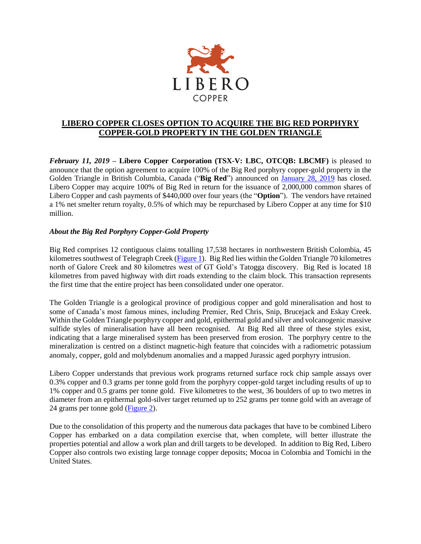

## **LIBERO COPPER CLOSES OPTION TO ACQUIRE THE BIG RED PORPHYRY COPPER-GOLD PROPERTY IN THE GOLDEN TRIANGLE**

*February 11, 2019* **– Libero Copper Corporation (TSX-V: LBC, OTCQB: LBCMF)** is pleased to announce that the option agreement to acquire 100% of the Big Red porphyry copper-gold property in the Golden Triangle in British Columbia, Canada ("**Big Red**") announced on [January 28, 2019](http://liberocopper.com/_resources/news/nr_20190128.pdf) has closed. Libero Copper may acquire 100% of Big Red in return for the issuance of 2,000,000 common shares of Libero Copper and cash payments of \$440,000 over four years (the "**Option**"). The vendors have retained a 1% net smelter return royalty, 0.5% of which may be repurchased by Libero Copper at any time for \$10 million.

## *About the Big Red Porphyry Copper-Gold Property*

Big Red comprises 12 contiguous claims totalling 17,538 hectares in northwestern British Colombia, 45 kilometres southwest of Telegraph Creek [\(Figure 1\)](http://liberocopper.com/_resources/bigred/Big-Red-Figure-1.pdf). Big Red lies within the Golden Triangle 70 kilometres north of Galore Creek and 80 kilometres west of GT Gold's Tatogga discovery. Big Red is located 18 kilometres from paved highway with dirt roads extending to the claim block. This transaction represents the first time that the entire project has been consolidated under one operator.

The Golden Triangle is a geological province of prodigious copper and gold mineralisation and host to some of Canada's most famous mines, including Premier, Red Chris, Snip, Brucejack and Eskay Creek. Within the Golden Triangle porphyry copper and gold, epithermal gold and silver and volcanogenic massive sulfide styles of mineralisation have all been recognised. At Big Red all three of these styles exist, indicating that a large mineralised system has been preserved from erosion. The porphyry centre to the mineralization is centred on a distinct magnetic-high feature that coincides with a radiometric potassium anomaly, copper, gold and molybdenum anomalies and a mapped Jurassic aged porphyry intrusion.

Libero Copper understands that previous work programs returned surface rock chip sample assays over 0.3% copper and 0.3 grams per tonne gold from the porphyry copper-gold target including results of up to 1% copper and 0.5 grams per tonne gold. Five kilometres to the west, 36 boulders of up to two metres in diameter from an epithermal gold-silver target returned up to 252 grams per tonne gold with an average of 24 grams per tonne gold [\(Figure 2\)](http://liberocopper.com/_resources/bigred/Big-Red-Figure-2.pdf).

Due to the consolidation of this property and the numerous data packages that have to be combined Libero Copper has embarked on a data compilation exercise that, when complete, will better illustrate the properties potential and allow a work plan and drill targets to be developed. In addition to Big Red, Libero Copper also controls two existing large tonnage copper deposits; Mocoa in Colombia and Tomichi in the United States.